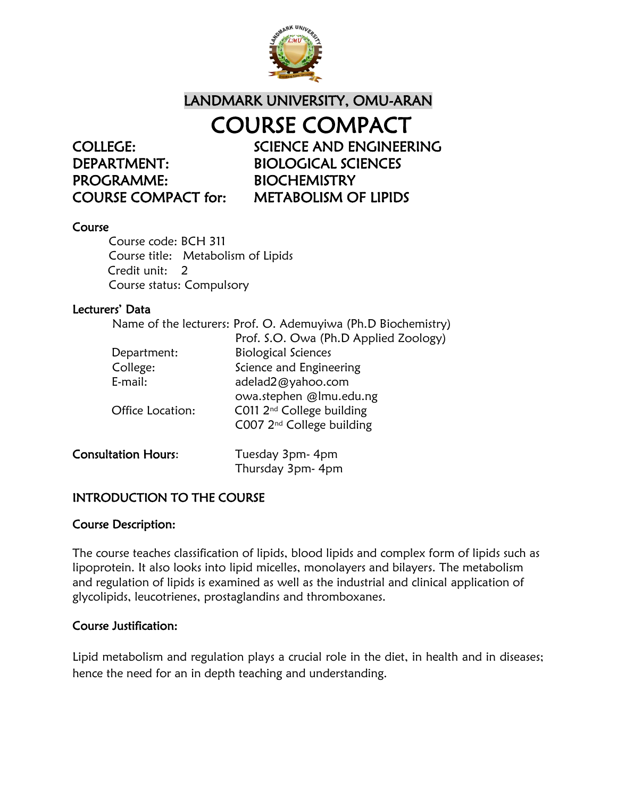

## LANDMARK UNIVERSITY, OMU-ARAN

DEPARTMENT: BIOLOGICAL SCIENCES PROGRAMME: BIOCHEMISTRY

COURSE COMPACT COLLEGE: SCIENCE AND ENGINEERING COURSE COMPACT for: METABOLISM OF LIPIDS

#### Course

Course code: BCH 311 Course title: Metabolism of Lipids Credit unit: 2 Course status: Compulsory

#### Lecturers' Data

|                            | Name of the lecturers: Prof. O. Ademuyiwa (Ph.D Biochemistry) |
|----------------------------|---------------------------------------------------------------|
|                            | Prof. S.O. Owa (Ph.D Applied Zoology)                         |
| Department:                | <b>Biological Sciences</b>                                    |
| College:                   | Science and Engineering                                       |
| E-mail:                    | adelad2@yahoo.com                                             |
|                            | owa.stephen @lmu.edu.ng                                       |
| Office Location:           | C011 2 <sup>nd</sup> College building                         |
|                            | C007 2 <sup>nd</sup> College building                         |
| <b>Consultation Hours:</b> | Tuesday 3pm- 4pm                                              |
|                            | Thursday 3pm- 4pm                                             |
|                            |                                                               |

## INTRODUCTION TO THE COURSE

#### Course Description:

The course teaches classification of lipids, blood lipids and complex form of lipids such as lipoprotein. It also looks into lipid micelles, monolayers and bilayers. The metabolism and regulation of lipids is examined as well as the industrial and clinical application of glycolipids, leucotrienes, prostaglandins and thromboxanes.

#### Course Justification:

Lipid metabolism and regulation plays a crucial role in the diet, in health and in diseases; hence the need for an in depth teaching and understanding.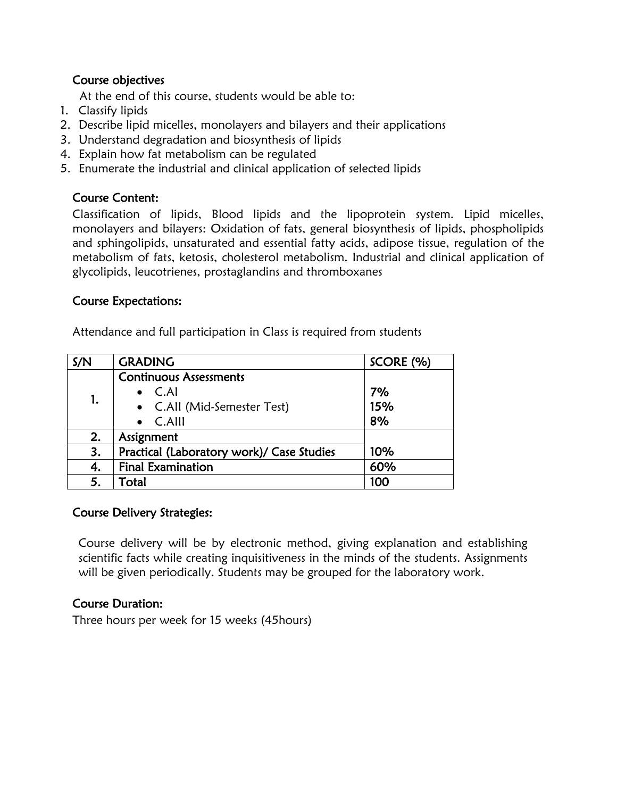## Course objectives

At the end of this course, students would be able to:

- 1. Classify lipids
- 2. Describe lipid micelles, monolayers and bilayers and their applications
- 3. Understand degradation and biosynthesis of lipids
- 4. Explain how fat metabolism can be regulated
- 5. Enumerate the industrial and clinical application of selected lipids

## Course Content:

Classification of lipids, Blood lipids and the lipoprotein system. Lipid micelles, monolayers and bilayers: Oxidation of fats, general biosynthesis of lipids, phospholipids and sphingolipids, unsaturated and essential fatty acids, adipose tissue, regulation of the metabolism of fats, ketosis, cholesterol metabolism. Industrial and clinical application of glycolipids, leucotrienes, prostaglandins and thromboxanes

## Course Expectations:

Attendance and full participation in Class is required from students

| S/N | <b>GRADING</b>                            | SCORE (%) |
|-----|-------------------------------------------|-----------|
| 1.  | <b>Continuous Assessments</b>             |           |
|     | $\bullet$ C.Al                            | 7%        |
|     | • C.All (Mid-Semester Test)               | 15%       |
|     | C.AIII                                    | 8%        |
| 2.  | Assignment                                |           |
| 3.  | Practical (Laboratory work)/ Case Studies | 10%       |
| 4.  | <b>Final Examination</b>                  | 60%       |
| 5.  | Total                                     | 100       |

## Course Delivery Strategies:

Course delivery will be by electronic method, giving explanation and establishing scientific facts while creating inquisitiveness in the minds of the students. Assignments will be given periodically. Students may be grouped for the laboratory work.

## Course Duration:

Three hours per week for 15 weeks (45hours)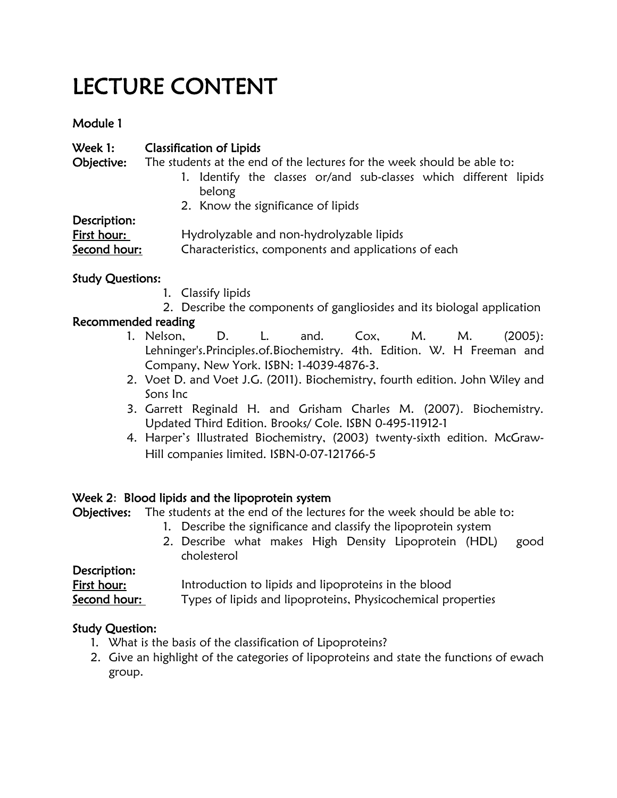# LECTURE CONTENT

## Module 1

| Week 1:                     | <b>Classification of Lipids</b>                                                                  |  |
|-----------------------------|--------------------------------------------------------------------------------------------------|--|
| Objective:                  | The students at the end of the lectures for the week should be able to:                          |  |
|                             | 1. Identify the classes or/and sub-classes which different lipids<br>belong                      |  |
|                             | 2. Know the significance of lipids                                                               |  |
| Description:                |                                                                                                  |  |
| First hour:<br>Second hour: | Hydrolyzable and non-hydrolyzable lipids<br>Characteristics, components and applications of each |  |

## Study Questions:

- 1. Classify lipids
- 2. Describe the components of gangliosides and its biologal application

## Recommended reading

- 1. Nelson, D. L. and. Cox, M. M. (2005): Lehninger's.Principles.of.Biochemistry. 4th. Edition. W. H Freeman and Company, New York. ISBN: 1-4039-4876-3.
- 2. Voet D. and Voet J.G. (2011). Biochemistry, fourth edition. John Wiley and Sons Inc
- 3. Garrett Reginald H. and Grisham Charles M. (2007). Biochemistry. Updated Third Edition. Brooks/ Cole. ISBN 0-495-11912-1
- 4. Harper's Illustrated Biochemistry, (2003) twenty-sixth edition. McGraw-Hill companies limited. ISBN-0-07-121766-5

## Week 2: Blood lipids and the lipoprotein system

Objectives: The students at the end of the lectures for the week should be able to:

- 1. Describe the significance and classify the lipoprotein system
- 2. Describe what makes High Density Lipoprotein (HDL) good cholesterol

Description: First hour: Introduction to lipids and lipoproteins in the blood Second hour: Types of lipids and lipoproteins, Physicochemical properties

## Study Question:

- 1. What is the basis of the classification of Lipoproteins?
- 2. Give an highlight of the categories of lipoproteins and state the functions of ewach group.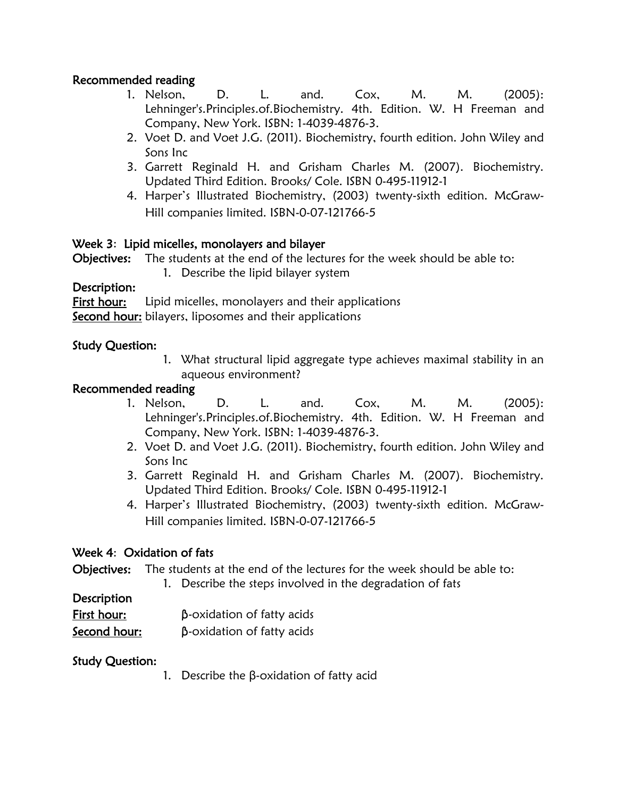## Recommended reading

- 1. Nelson, D. L. and. Cox, M. M. (2005): Lehninger's.Principles.of.Biochemistry. 4th. Edition. W. H Freeman and Company, New York. ISBN: 1-4039-4876-3.
- 2. Voet D. and Voet J.G. (2011). Biochemistry, fourth edition. John Wiley and Sons Inc
- 3. Garrett Reginald H. and Grisham Charles M. (2007). Biochemistry. Updated Third Edition. Brooks/ Cole. ISBN 0-495-11912-1
- 4. Harper's Illustrated Biochemistry, (2003) twenty-sixth edition. McGraw-Hill companies limited. ISBN-0-07-121766-5

## Week 3: Lipid micelles, monolayers and bilayer

Objectives: The students at the end of the lectures for the week should be able to:

1. Describe the lipid bilayer system

#### Description:

First hour: Lipid micelles, monolayers and their applications Second hour: bilayers, liposomes and their applications

#### Study Question:

1. What structural lipid aggregate type achieves maximal stability in an aqueous environment?

#### Recommended reading

- 1. Nelson, D. L. and. Cox, M. M. (2005): Lehninger's.Principles.of.Biochemistry. 4th. Edition. W. H Freeman and Company, New York. ISBN: 1-4039-4876-3.
- 2. Voet D. and Voet J.G. (2011). Biochemistry, fourth edition. John Wiley and Sons Inc
- 3. Garrett Reginald H. and Grisham Charles M. (2007). Biochemistry. Updated Third Edition. Brooks/ Cole. ISBN 0-495-11912-1
- 4. Harper's Illustrated Biochemistry, (2003) twenty-sixth edition. McGraw-Hill companies limited. ISBN-0-07-121766-5

## Week 4: Oxidation of fats

Objectives: The students at the end of the lectures for the week should be able to:

1. Describe the steps involved in the degradation of fats

#### **Description**

| First hour:  | $\beta$ -oxidation of fatty acids |
|--------------|-----------------------------------|
| Second hour: | $\beta$ -oxidation of fatty acids |

#### Study Question:

1. Describe the β-oxidation of fatty acid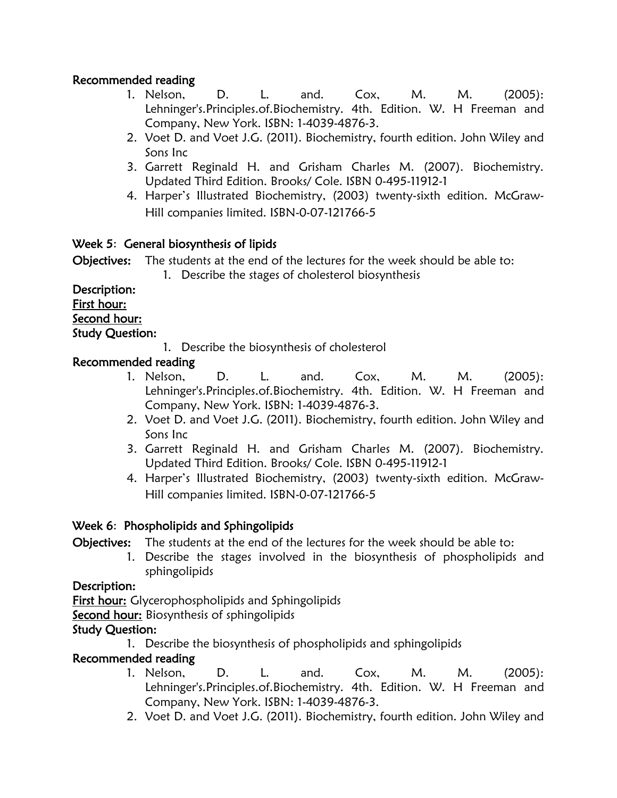## Recommended reading

- 1. Nelson, D. L. and. Cox, M. M. (2005): Lehninger's.Principles.of.Biochemistry. 4th. Edition. W. H Freeman and Company, New York. ISBN: 1-4039-4876-3.
- 2. Voet D. and Voet J.G. (2011). Biochemistry, fourth edition. John Wiley and Sons Inc
- 3. Garrett Reginald H. and Grisham Charles M. (2007). Biochemistry. Updated Third Edition. Brooks/ Cole. ISBN 0-495-11912-1
- 4. Harper's Illustrated Biochemistry, (2003) twenty-sixth edition. McGraw-Hill companies limited. ISBN-0-07-121766-5

## Week 5: General biosynthesis of lipids

Objectives: The students at the end of the lectures for the week should be able to:

1. Describe the stages of cholesterol biosynthesis

Description: First hour: Second hour: Study Question:

1. Describe the biosynthesis of cholesterol

## Recommended reading

- 1. Nelson, D. L. and. Cox, M. M. (2005): Lehninger's.Principles.of.Biochemistry. 4th. Edition. W. H Freeman and Company, New York. ISBN: 1-4039-4876-3.
- 2. Voet D. and Voet J.G. (2011). Biochemistry, fourth edition. John Wiley and Sons Inc
- 3. Garrett Reginald H. and Grisham Charles M. (2007). Biochemistry. Updated Third Edition. Brooks/ Cole. ISBN 0-495-11912-1
- 4. Harper's Illustrated Biochemistry, (2003) twenty-sixth edition. McGraw-Hill companies limited. ISBN-0-07-121766-5

## Week 6: Phospholipids and Sphingolipids

Objectives: The students at the end of the lectures for the week should be able to:

1. Describe the stages involved in the biosynthesis of phospholipids and sphingolipids

## Description:

First hour: Glycerophospholipids and Sphingolipids

**Second hour:** Biosynthesis of sphingolipids

## Study Question:

1. Describe the biosynthesis of phospholipids and sphingolipids

## Recommended reading

- 1. Nelson, D. L. and. Cox, M. M. (2005): Lehninger's.Principles.of.Biochemistry. 4th. Edition. W. H Freeman and Company, New York. ISBN: 1-4039-4876-3.
- 2. Voet D. and Voet J.G. (2011). Biochemistry, fourth edition. John Wiley and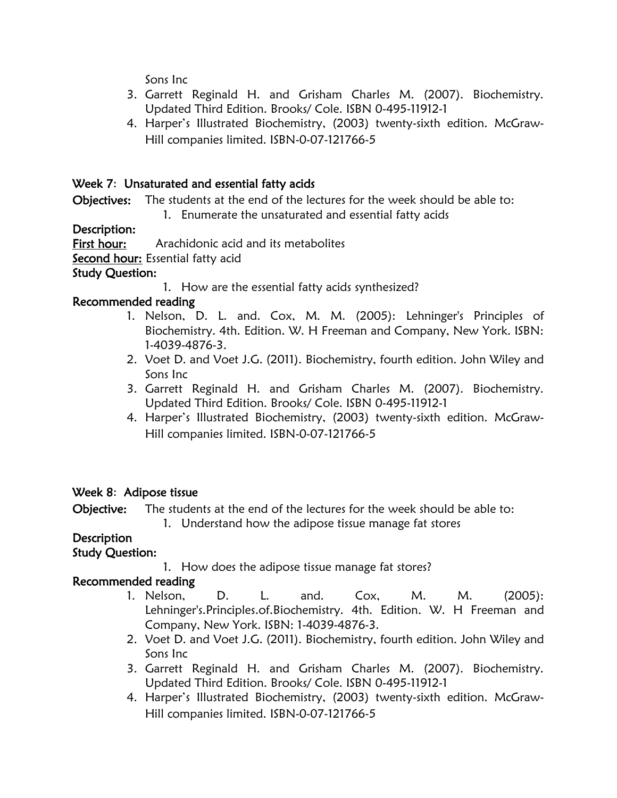Sons Inc

- 3. Garrett Reginald H. and Grisham Charles M. (2007). Biochemistry. Updated Third Edition. Brooks/ Cole. ISBN 0-495-11912-1
- 4. Harper's Illustrated Biochemistry, (2003) twenty-sixth edition. McGraw-Hill companies limited. ISBN-0-07-121766-5

## Week 7: Unsaturated and essential fatty acids

Objectives: The students at the end of the lectures for the week should be able to:

1. Enumerate the unsaturated and essential fatty acids

## Description:

First hour: Arachidonic acid and its metabolites

Second hour: Essential fatty acid

## Study Question:

1. How are the essential fatty acids synthesized?

## Recommended reading

- 1. Nelson, D. L. and. Cox, M. M. (2005): Lehninger's Principles of Biochemistry. 4th. Edition. W. H Freeman and Company, New York. ISBN: 1-4039-4876-3.
- 2. Voet D. and Voet J.G. (2011). Biochemistry, fourth edition. John Wiley and Sons Inc
- 3. Garrett Reginald H. and Grisham Charles M. (2007). Biochemistry. Updated Third Edition. Brooks/ Cole. ISBN 0-495-11912-1
- 4. Harper's Illustrated Biochemistry, (2003) twenty-sixth edition. McGraw-Hill companies limited. ISBN-0-07-121766-5

## Week 8: Adipose tissue

Objective: The students at the end of the lectures for the week should be able to:

1. Understand how the adipose tissue manage fat stores

## **Description**

## Study Question:

1. How does the adipose tissue manage fat stores?

## Recommended reading

- 1. Nelson, D. L. and. Cox, M. M. (2005): Lehninger's.Principles.of.Biochemistry. 4th. Edition. W. H Freeman and Company, New York. ISBN: 1-4039-4876-3.
- 2. Voet D. and Voet J.G. (2011). Biochemistry, fourth edition. John Wiley and Sons Inc
- 3. Garrett Reginald H. and Grisham Charles M. (2007). Biochemistry. Updated Third Edition. Brooks/ Cole. ISBN 0-495-11912-1
- 4. Harper's Illustrated Biochemistry, (2003) twenty-sixth edition. McGraw-Hill companies limited. ISBN-0-07-121766-5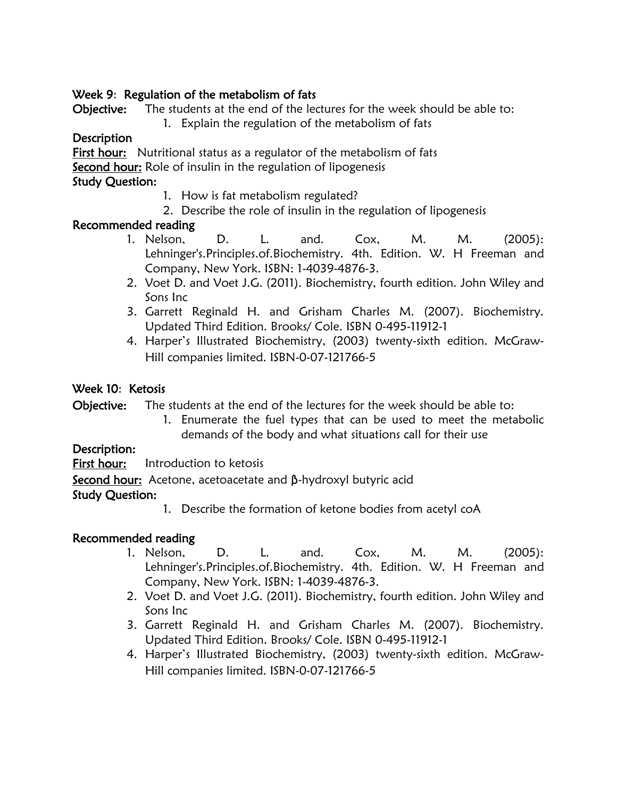## Week 9: Regulation of the metabolism of fats

Objective: The students at the end of the lectures for the week should be able to:

1. Explain the regulation of the metabolism of fats

## **Description**

First hour: Nutritional status as a regulator of the metabolism of fats

Second hour: Role of insulin in the regulation of lipogenesis

## Study Question:

- 1. How is fat metabolism regulated?
- 2. Describe the role of insulin in the regulation of lipogenesis

## Recommended reading

- 1. Nelson, D. L. and. Cox, M. M. (2005): Lehninger's.Principles.of.Biochemistry. 4th. Edition. W. H Freeman and Company, New York. ISBN: 1-4039-4876-3.
- 2. Voet D. and Voet J.G. (2011). Biochemistry, fourth edition. John Wiley and Sons Inc
- 3. Garrett Reginald H. and Grisham Charles M. (2007). Biochemistry. Updated Third Edition. Brooks/ Cole. ISBN 0-495-11912-1
- 4. Harper's Illustrated Biochemistry, (2003) twenty-sixth edition. McGraw-Hill companies limited. ISBN-0-07-121766-5

## Week 10: Ketosis

Objective: The students at the end of the lectures for the week should be able to:

1. Enumerate the fuel types that can be used to meet the metabolic demands of the body and what situations call for their use

## Description:

First hour: Introduction to ketosis

Second hour: Acetone, acetoacetate and β-hydroxyl butyric acid

## Study Question:

1. Describe the formation of ketone bodies from acetyl coA

## Recommended reading

- 1. Nelson, D. L. and. Cox, M. M. (2005): Lehninger's.Principles.of.Biochemistry. 4th. Edition. W. H Freeman and Company, New York. ISBN: 1-4039-4876-3.
- 2. Voet D. and Voet J.G. (2011). Biochemistry, fourth edition. John Wiley and Sons Inc
- 3. Garrett Reginald H. and Grisham Charles M. (2007). Biochemistry. Updated Third Edition. Brooks/ Cole. ISBN 0-495-11912-1
- 4. Harper's Illustrated Biochemistry, (2003) twenty-sixth edition. McGraw-Hill companies limited. ISBN-0-07-121766-5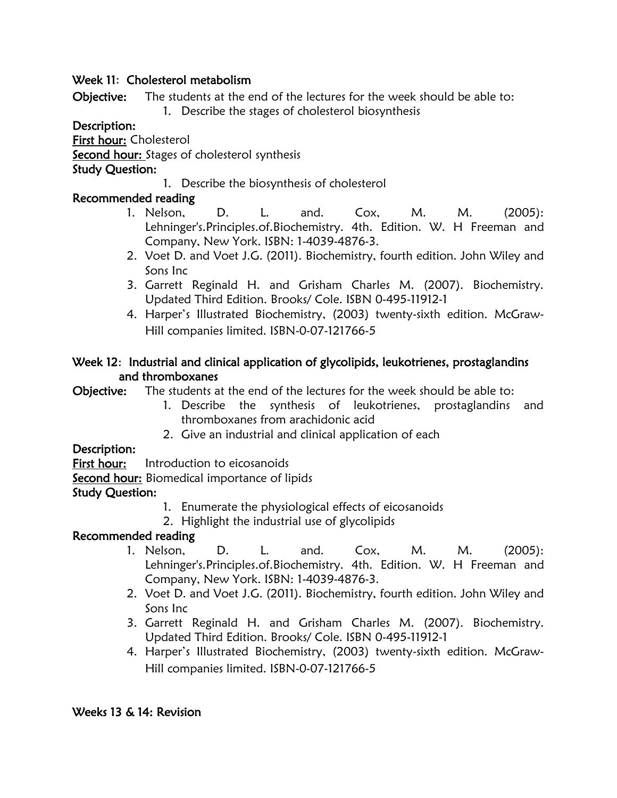#### Week 11: Cholesterol metabolism

Objective: The students at the end of the lectures for the week should be able to:

1. Describe the stages of cholesterol biosynthesis

#### Description:

First hour: Cholesterol

**Second hour:** Stages of cholesterol synthesis

#### Study Question:

1. Describe the biosynthesis of cholesterol

## Recommended reading

- 1. Nelson, D. L. and. Cox, M. M. (2005): Lehninger's.Principles.of.Biochemistry. 4th. Edition. W. H Freeman and Company, New York. ISBN: 1-4039-4876-3.
- 2. Voet D. and Voet J.G. (2011). Biochemistry, fourth edition. John Wiley and Sons Inc
- 3. Garrett Reginald H. and Grisham Charles M. (2007). Biochemistry. Updated Third Edition. Brooks/ Cole. ISBN 0-495-11912-1
- 4. Harper's Illustrated Biochemistry, (2003) twenty-sixth edition. McGraw-Hill companies limited. ISBN-0-07-121766-5

## Week 12: Industrial and clinical application of glycolipids, leukotrienes, prostaglandins and thromboxanes

Objective: The students at the end of the lectures for the week should be able to:

- 1. Describe the synthesis of leukotrienes, prostaglandins and thromboxanes from arachidonic acid
- 2. Give an industrial and clinical application of each

## Description:

First hour: Introduction to eicosanoids

Second hour: Biomedical importance of lipids

## Study Question:

- 1. Enumerate the physiological effects of eicosanoids
- 2. Highlight the industrial use of glycolipids

## Recommended reading

- 1. Nelson, D. L. and. Cox, M. M. (2005): Lehninger's.Principles.of.Biochemistry. 4th. Edition. W. H Freeman and Company, New York. ISBN: 1-4039-4876-3.
- 2. Voet D. and Voet J.G. (2011). Biochemistry, fourth edition. John Wiley and Sons Inc
- 3. Garrett Reginald H. and Grisham Charles M. (2007). Biochemistry. Updated Third Edition. Brooks/ Cole. ISBN 0-495-11912-1
- 4. Harper's Illustrated Biochemistry, (2003) twenty-sixth edition. McGraw-Hill companies limited. ISBN-0-07-121766-5

#### Weeks 13 & 14: Revision